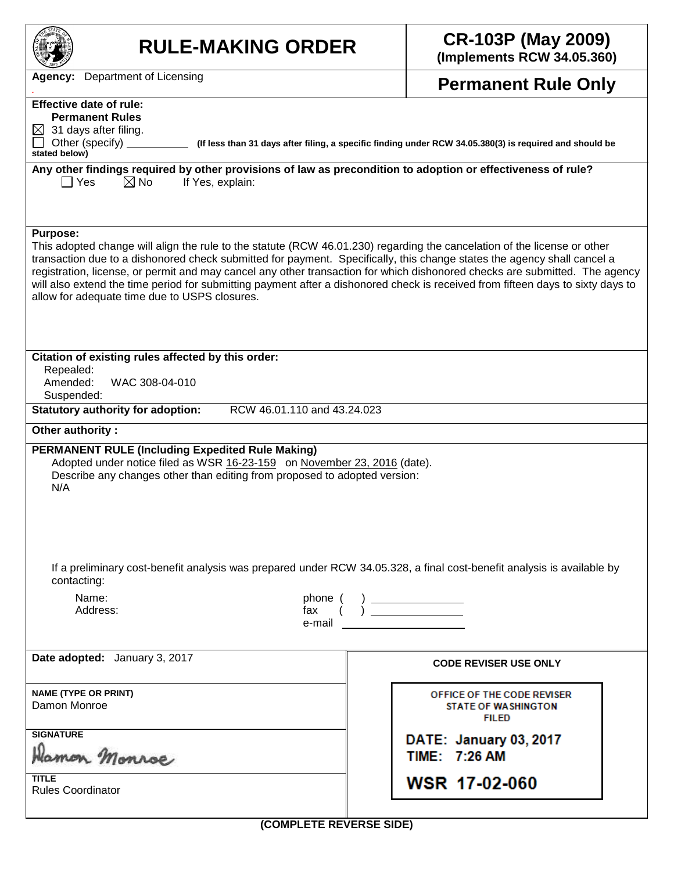| <b>RULE-MAKING ORDER</b>                                                                                                                                                                                                                                                                                                                                                                                                                                                                                                                                                                  | <b>CR-103P (May 2009)</b><br>(Implements RCW 34.05.360)                                                                                |  |  |  |  |  |  |
|-------------------------------------------------------------------------------------------------------------------------------------------------------------------------------------------------------------------------------------------------------------------------------------------------------------------------------------------------------------------------------------------------------------------------------------------------------------------------------------------------------------------------------------------------------------------------------------------|----------------------------------------------------------------------------------------------------------------------------------------|--|--|--|--|--|--|
| Department of Licensing<br>Agency:                                                                                                                                                                                                                                                                                                                                                                                                                                                                                                                                                        | <b>Permanent Rule Only</b>                                                                                                             |  |  |  |  |  |  |
| <b>Effective date of rule:</b><br><b>Permanent Rules</b><br>$\boxtimes$ 31 days after filing.<br>Other (specify)<br>(If less than 31 days after filing, a specific finding under RCW 34.05.380(3) is required and should be<br>stated below)                                                                                                                                                                                                                                                                                                                                              |                                                                                                                                        |  |  |  |  |  |  |
| Any other findings required by other provisions of law as precondition to adoption or effectiveness of rule?<br>ヿ Yes<br>$\boxtimes$ No<br>If Yes, explain:                                                                                                                                                                                                                                                                                                                                                                                                                               |                                                                                                                                        |  |  |  |  |  |  |
| <b>Purpose:</b><br>This adopted change will align the rule to the statute (RCW 46.01.230) regarding the cancelation of the license or other<br>transaction due to a dishonored check submitted for payment. Specifically, this change states the agency shall cancel a<br>registration, license, or permit and may cancel any other transaction for which dishonored checks are submitted. The agency<br>will also extend the time period for submitting payment after a dishonored check is received from fifteen days to sixty days to<br>allow for adequate time due to USPS closures. |                                                                                                                                        |  |  |  |  |  |  |
| Citation of existing rules affected by this order:<br>Repealed:<br>WAC 308-04-010<br>Amended:<br>Suspended:                                                                                                                                                                                                                                                                                                                                                                                                                                                                               |                                                                                                                                        |  |  |  |  |  |  |
| RCW 46.01.110 and 43.24.023<br><b>Statutory authority for adoption:</b>                                                                                                                                                                                                                                                                                                                                                                                                                                                                                                                   |                                                                                                                                        |  |  |  |  |  |  |
| Other authority:<br><b>PERMANENT RULE (Including Expedited Rule Making)</b><br>Adopted under notice filed as WSR 16-23-159 on November 23, 2016 (date).<br>Describe any changes other than editing from proposed to adopted version:<br>N/A                                                                                                                                                                                                                                                                                                                                               |                                                                                                                                        |  |  |  |  |  |  |
| If a preliminary cost-benefit analysis was prepared under RCW 34.05.328, a final cost-benefit analysis is available by<br>contacting:                                                                                                                                                                                                                                                                                                                                                                                                                                                     |                                                                                                                                        |  |  |  |  |  |  |
| Name:<br>phone (<br>Address:<br>fax<br>e-mail                                                                                                                                                                                                                                                                                                                                                                                                                                                                                                                                             | $\begin{pmatrix} & & \\ & \cdot & & \\ & & \cdot & \\ & & & \end{pmatrix} \begin{pmatrix} & & & \\ & & \cdot & \\ & & & \end{pmatrix}$ |  |  |  |  |  |  |
| Date adopted: January 3, 2017                                                                                                                                                                                                                                                                                                                                                                                                                                                                                                                                                             | <b>CODE REVISER USE ONLY</b>                                                                                                           |  |  |  |  |  |  |
| <b>NAME (TYPE OR PRINT)</b><br>Damon Monroe                                                                                                                                                                                                                                                                                                                                                                                                                                                                                                                                               | OFFICE OF THE CODE REVISER<br><b>STATE OF WASHINGTON</b><br><b>FILED</b>                                                               |  |  |  |  |  |  |
| <b>SIGNATURE</b><br>amon Monroe                                                                                                                                                                                                                                                                                                                                                                                                                                                                                                                                                           | DATE: January 03, 2017<br>TIME: 7:26 AM                                                                                                |  |  |  |  |  |  |
| <b>TITLE</b><br><b>Rules Coordinator</b>                                                                                                                                                                                                                                                                                                                                                                                                                                                                                                                                                  | <b>WSR 17-02-060</b>                                                                                                                   |  |  |  |  |  |  |
| (COMPLETE REVERSE SIDE)                                                                                                                                                                                                                                                                                                                                                                                                                                                                                                                                                                   |                                                                                                                                        |  |  |  |  |  |  |

**(COMPLETE REVERSE SIDE)**